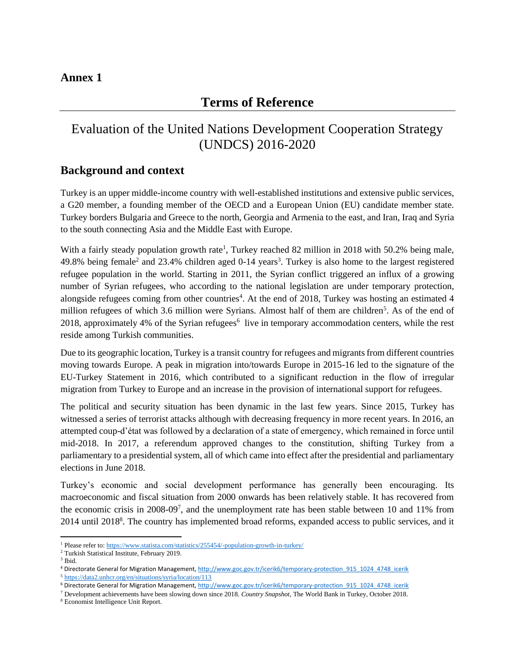# **Terms of Reference**

# Evaluation of the United Nations Development Cooperation Strategy (UNDCS) 2016-2020

### **Background and context**

Turkey is an upper middle-income country with well-established institutions and extensive public services, a G20 member, a founding member of the OECD and a European Union (EU) candidate member state. Turkey borders Bulgaria and Greece to the north, Georgia and Armenia to the east, and Iran, Iraq and Syria to the south connecting Asia and the Middle East with Europe.

With a fairly steady population growth rate<sup>1</sup>, Turkey reached 82 million in 2018 with 50.2% being male, 49.8% being female<sup>2</sup> and 23.4% children aged 0-14 years<sup>3</sup>. Turkey is also home to the largest registered refugee population in the world. Starting in 2011, the Syrian conflict triggered an influx of a growing number of Syrian refugees, who according to the national legislation are under temporary protection, alongside refugees coming from other countries<sup>4</sup>. At the end of 2018, Turkey was hosting an estimated 4 million refugees of which 3.6 million were Syrians. Almost half of them are children<sup>5</sup>. As of the end of 2018, approximately 4% of the Syrian refugees<sup>6</sup> live in temporary accommodation centers, while the rest reside among Turkish communities.

Due to its geographic location, Turkey is a transit country for refugees and migrants from different countries moving towards Europe. A peak in migration into/towards Europe in 2015-16 led to the signature of the EU-Turkey Statement in 2016, which contributed to a significant reduction in the flow of irregular migration from Turkey to Europe and an increase in the provision of international support for refugees.

The political and security situation has been dynamic in the last few years. Since 2015, Turkey has witnessed a series of terrorist attacks although with decreasing frequency in more recent years. In 2016, an attempted coup-d'état was followed by a declaration of a state of emergency, which remained in force until mid-2018. In 2017, a referendum approved changes to the constitution, shifting Turkey from a parliamentary to a presidential system, all of which came into effect after the presidential and parliamentary elections in June 2018.

Turkey's economic and social development performance has generally been encouraging. Its macroeconomic and fiscal situation from 2000 onwards has been relatively stable. It has recovered from the economic crisis in 2008-09<sup>7</sup>, and the unemployment rate has been stable between 10 and 11% from 2014 until 2018<sup>8</sup>. The country has implemented broad reforms, expanded access to public services, and it

<sup>&</sup>lt;sup>1</sup> Please refer to[: https://www.statista.com/statistics/255454/-population-growth-in-turkey/](https://www.statista.com/statistics/255454/-population-growth-in-turkey/)

<sup>2</sup> Turkish Statistical Institute, February 2019.

<sup>3</sup> Ibid.

<sup>4</sup> Directorate General for Migration Management[, http://www.goc.gov.tr/icerik6/temporary-protection\\_915\\_1024\\_4748\\_icerik](http://www.goc.gov.tr/icerik6/temporary-protection_915_1024_4748_icerik)

<sup>5</sup> <https://data2.unhcr.org/en/situations/syria/location/113>

<sup>6</sup> Directorate General for Migration Management, http://www.goc.gov.tr/icerik6/temporary-protection 915 1024 4748 icerik

<sup>7</sup> Development achievements have been slowing down since 2018. *Country Snapshot*, The World Bank in Turkey, October 2018.

<sup>8</sup> Economist Intelligence Unit Report.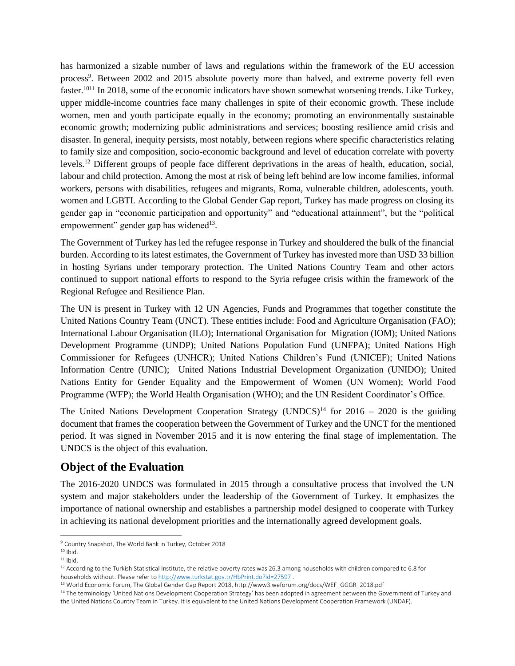has harmonized a sizable number of laws and regulations within the framework of the EU accession process<sup>9</sup>. Between 2002 and 2015 absolute poverty more than halved, and extreme poverty fell even faster.<sup>1011</sup> In 2018, some of the economic indicators have shown somewhat worsening trends. Like Turkey, upper middle-income countries face many challenges in spite of their economic growth. These include women, men and youth participate equally in the economy; promoting an environmentally sustainable economic growth; modernizing public administrations and services; boosting resilience amid crisis and disaster. In general, inequity persists, most notably, between regions where specific characteristics relating to family size and composition, socio-economic background and level of education correlate with poverty levels.<sup>12</sup> Different groups of people face different deprivations in the areas of health, education, social, labour and child protection. Among the most at risk of being left behind are low income families, informal workers, persons with disabilities, refugees and migrants, Roma, vulnerable children, adolescents, youth. women and LGBTI. According to the Global Gender Gap report, Turkey has made progress on closing its gender gap in "economic participation and opportunity" and "educational attainment", but the "political empowerment" gender gap has widened<sup>13</sup>.

The Government of Turkey has led the refugee response in Turkey and shouldered the bulk of the financial burden. According to its latest estimates, the Government of Turkey has invested more than USD 33 billion in hosting Syrians under temporary protection. The United Nations Country Team and other actors continued to support national efforts to respond to the Syria refugee crisis within the framework of the Regional Refugee and Resilience Plan.

The UN is present in Turkey with 12 UN Agencies, Funds and Programmes that together constitute the United Nations Country Team (UNCT). These entities include: Food and Agriculture Organisation (FAO); International Labour Organisation (ILO); International Organisation for Migration (IOM); United Nations Development Programme (UNDP); United Nations Population Fund (UNFPA); United Nations High Commissioner for Refugees (UNHCR); United Nations Children's Fund (UNICEF); United Nations Information Centre (UNIC); United Nations Industrial Development Organization (UNIDO); United Nations Entity for Gender Equality and the Empowerment of Women (UN Women); World Food Programme (WFP); the World Health Organisation (WHO); and the UN Resident Coordinator's Office.

The United Nations Development Cooperation Strategy (UNDCS)<sup>14</sup> for 2016 – 2020 is the guiding document that frames the cooperation between the Government of Turkey and the UNCT for the mentioned period. It was signed in November 2015 and it is now entering the final stage of implementation. The UNDCS is the object of this evaluation.

## **Object of the Evaluation**

The 2016-2020 UNDCS was formulated in 2015 through a consultative process that involved the UN system and major stakeholders under the leadership of the Government of Turkey. It emphasizes the importance of national ownership and establishes a partnership model designed to cooperate with Turkey in achieving its national development priorities and the internationally agreed development goals.

<sup>9</sup> Country Snapshot, The World Bank in Turkey, October 2018

 $10$  Ibid.

 $11$  Ibid.

 $12$  According to the Turkish Statistical Institute, the relative poverty rates was 26.3 among households with children compared to 6.8 for households without. Please refer t[o http://www.turkstat.gov.tr/HbPrint.do?id=27597](http://www.turkstat.gov.tr/HbPrint.do?id=27597).

<sup>13</sup> World Economic Forum, The Global Gender Gap Report 2018, http://www3.weforum.org/docs/WEF\_GGGR\_2018.pdf

<sup>&</sup>lt;sup>14</sup> The terminology 'United Nations Development Cooperation Strategy' has been adopted in agreement between the Government of Turkey and the United Nations Country Team in Turkey. It is equivalent to the United Nations Development Cooperation Framework (UNDAF).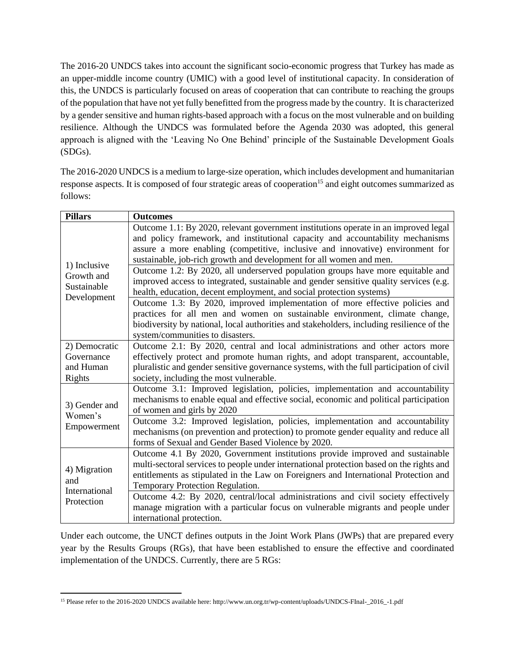The 2016-20 UNDCS takes into account the significant socio-economic progress that Turkey has made as an upper-middle income country (UMIC) with a good level of institutional capacity. In consideration of this, the UNDCS is particularly focused on areas of cooperation that can contribute to reaching the groups of the population that have not yet fully benefitted from the progress made by the country. It is characterized by a gender sensitive and human rights-based approach with a focus on the most vulnerable and on building resilience. Although the UNDCS was formulated before the Agenda 2030 was adopted, this general approach is aligned with the 'Leaving No One Behind' principle of the Sustainable Development Goals (SDGs).

The 2016-2020 UNDCS is a medium to large-size operation, which includes development and humanitarian response aspects. It is composed of four strategic areas of cooperation<sup>15</sup> and eight outcomes summarized as follows:

| <b>Pillars</b>                                           | <b>Outcomes</b>                                                                                                                                                                                                                                                                                                                |  |  |  |
|----------------------------------------------------------|--------------------------------------------------------------------------------------------------------------------------------------------------------------------------------------------------------------------------------------------------------------------------------------------------------------------------------|--|--|--|
| 1) Inclusive<br>Growth and<br>Sustainable<br>Development | Outcome 1.1: By 2020, relevant government institutions operate in an improved legal<br>and policy framework, and institutional capacity and accountability mechanisms<br>assure a more enabling (competitive, inclusive and innovative) environment for<br>sustainable, job-rich growth and development for all women and men. |  |  |  |
|                                                          | Outcome 1.2: By 2020, all underserved population groups have more equitable and<br>improved access to integrated, sustainable and gender sensitive quality services (e.g.<br>health, education, decent employment, and social protection systems)                                                                              |  |  |  |
|                                                          | Outcome 1.3: By 2020, improved implementation of more effective policies and<br>practices for all men and women on sustainable environment, climate change,<br>biodiversity by national, local authorities and stakeholders, including resilience of the<br>system/communities to disasters.                                   |  |  |  |
| 2) Democratic<br>Governance<br>and Human<br>Rights       | Outcome 2.1: By 2020, central and local administrations and other actors more<br>effectively protect and promote human rights, and adopt transparent, accountable,<br>pluralistic and gender sensitive governance systems, with the full participation of civil<br>society, including the most vulnerable.                     |  |  |  |
| 3) Gender and<br>Women's                                 | Outcome 3.1: Improved legislation, policies, implementation and accountability<br>mechanisms to enable equal and effective social, economic and political participation<br>of women and girls by 2020                                                                                                                          |  |  |  |
| Empowerment                                              | Outcome 3.2: Improved legislation, policies, implementation and accountability<br>mechanisms (on prevention and protection) to promote gender equality and reduce all<br>forms of Sexual and Gender Based Violence by 2020.                                                                                                    |  |  |  |
| 4) Migration<br>and<br>International                     | Outcome 4.1 By 2020, Government institutions provide improved and sustainable<br>multi-sectoral services to people under international protection based on the rights and<br>entitlements as stipulated in the Law on Foreigners and International Protection and<br>Temporary Protection Regulation.                          |  |  |  |
| Protection                                               | Outcome 4.2: By 2020, central/local administrations and civil society effectively<br>manage migration with a particular focus on vulnerable migrants and people under<br>international protection.                                                                                                                             |  |  |  |

Under each outcome, the UNCT defines outputs in the Joint Work Plans (JWPs) that are prepared every year by the Results Groups (RGs), that have been established to ensure the effective and coordinated implementation of the UNDCS. Currently, there are 5 RGs:

<sup>15</sup> Please refer to the 2016-2020 UNDCS available here: http://www.un.org.tr/wp-content/uploads/UNDCS-FInal-\_2016\_-1.pdf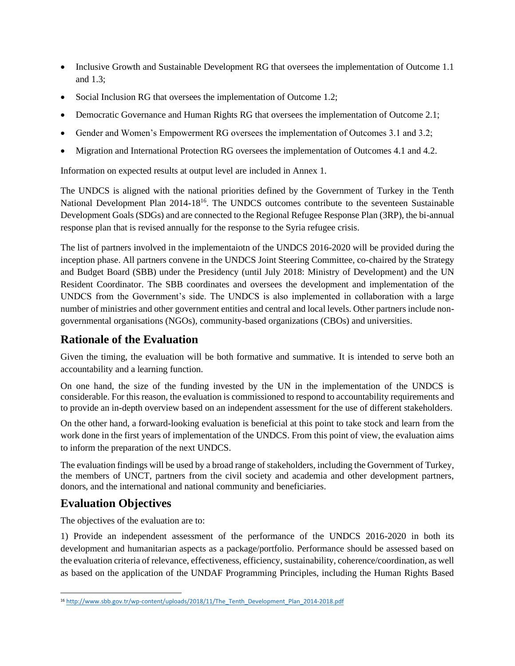- Inclusive Growth and Sustainable Development RG that oversees the implementation of Outcome 1.1 and 1.3;
- Social Inclusion RG that oversees the implementation of Outcome 1.2;
- Democratic Governance and Human Rights RG that oversees the implementation of Outcome 2.1;
- Gender and Women's Empowerment RG oversees the implementation of Outcomes 3.1 and 3.2;
- Migration and International Protection RG oversees the implementation of Outcomes 4.1 and 4.2.

Information on expected results at output level are included in Annex 1.

The UNDCS is aligned with the national priorities defined by the Government of Turkey in the Tenth National Development Plan 2014-18<sup>16</sup>. The UNDCS outcomes contribute to the seventeen Sustainable Development Goals (SDGs) and are connected to the Regional Refugee Response Plan (3RP), the bi-annual response plan that is revised annually for the response to the Syria refugee crisis.

The list of partners involved in the implementaiotn of the UNDCS 2016-2020 will be provided during the inception phase. All partners convene in the UNDCS Joint Steering Committee, co-chaired by the Strategy and Budget Board (SBB) under the Presidency (until July 2018: Ministry of Development) and the UN Resident Coordinator. The SBB coordinates and oversees the development and implementation of the UNDCS from the Government's side. The UNDCS is also implemented in collaboration with a large number of ministries and other government entities and central and local levels. Other partners include nongovernmental organisations (NGOs), community-based organizations (CBOs) and universities.

# **Rationale of the Evaluation**

Given the timing, the evaluation will be both formative and summative. It is intended to serve both an accountability and a learning function.

On one hand, the size of the funding invested by the UN in the implementation of the UNDCS is considerable. For this reason, the evaluation is commissioned to respond to accountability requirements and to provide an in-depth overview based on an independent assessment for the use of different stakeholders.

On the other hand, a forward-looking evaluation is beneficial at this point to take stock and learn from the work done in the first years of implementation of the UNDCS. From this point of view, the evaluation aims to inform the preparation of the next UNDCS.

The evaluation findings will be used by a broad range of stakeholders, including the Government of Turkey, the members of UNCT, partners from the civil society and academia and other development partners, donors, and the international and national community and beneficiaries.

# **Evaluation Objectives**

The objectives of the evaluation are to:

1) Provide an independent assessment of the performance of the UNDCS 2016-2020 in both its development and humanitarian aspects as a package/portfolio. Performance should be assessed based on the evaluation criteria of relevance, effectiveness, efficiency, sustainability, coherence/coordination, as well as based on the application of the UNDAF Programming Principles, including the Human Rights Based

<sup>&</sup>lt;sup>16</sup> [http://www.sbb.gov.tr/wp-content/uploads/2018/11/The\\_Tenth\\_Development\\_Plan\\_2014-2018.pdf](http://www.sbb.gov.tr/wp-content/uploads/2018/11/The_Tenth_Development_Plan_2014-2018.pdf)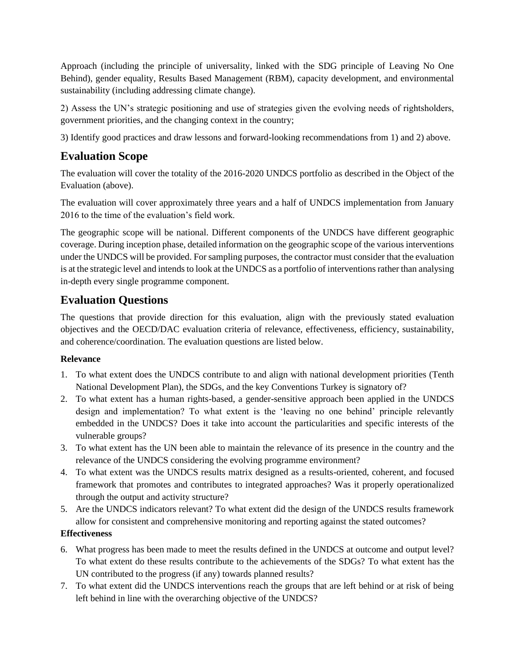Approach (including the principle of universality, linked with the SDG principle of Leaving No One Behind), gender equality, Results Based Management (RBM), capacity development, and environmental sustainability (including addressing climate change).

2) Assess the UN's strategic positioning and use of strategies given the evolving needs of rightsholders, government priorities, and the changing context in the country;

3) Identify good practices and draw lessons and forward-looking recommendations from 1) and 2) above.

# **Evaluation Scope**

The evaluation will cover the totality of the 2016-2020 UNDCS portfolio as described in the Object of the Evaluation (above).

The evaluation will cover approximately three years and a half of UNDCS implementation from January 2016 to the time of the evaluation's field work.

The geographic scope will be national. Different components of the UNDCS have different geographic coverage. During inception phase, detailed information on the geographic scope of the various interventions under the UNDCS will be provided. For sampling purposes, the contractor must consider that the evaluation is at the strategic level and intends to look at the UNDCS as a portfolio of interventions rather than analysing in-depth every single programme component.

## **Evaluation Questions**

The questions that provide direction for this evaluation, align with the previously stated evaluation objectives and the OECD/DAC evaluation criteria of relevance, effectiveness, efficiency, sustainability, and coherence/coordination. The evaluation questions are listed below.

### **Relevance**

- 1. To what extent does the UNDCS contribute to and align with national development priorities (Tenth National Development Plan), the SDGs, and the key Conventions Turkey is signatory of?
- 2. To what extent has a human rights-based, a gender-sensitive approach been applied in the UNDCS design and implementation? To what extent is the 'leaving no one behind' principle relevantly embedded in the UNDCS? Does it take into account the particularities and specific interests of the vulnerable groups?
- 3. To what extent has the UN been able to maintain the relevance of its presence in the country and the relevance of the UNDCS considering the evolving programme environment?
- 4. To what extent was the UNDCS results matrix designed as a results-oriented, coherent, and focused framework that promotes and contributes to integrated approaches? Was it properly operationalized through the output and activity structure?
- 5. Are the UNDCS indicators relevant? To what extent did the design of the UNDCS results framework allow for consistent and comprehensive monitoring and reporting against the stated outcomes?

### **Effectiveness**

- 6. What progress has been made to meet the results defined in the UNDCS at outcome and output level? To what extent do these results contribute to the achievements of the SDGs? To what extent has the UN contributed to the progress (if any) towards planned results?
- 7. To what extent did the UNDCS interventions reach the groups that are left behind or at risk of being left behind in line with the overarching objective of the UNDCS?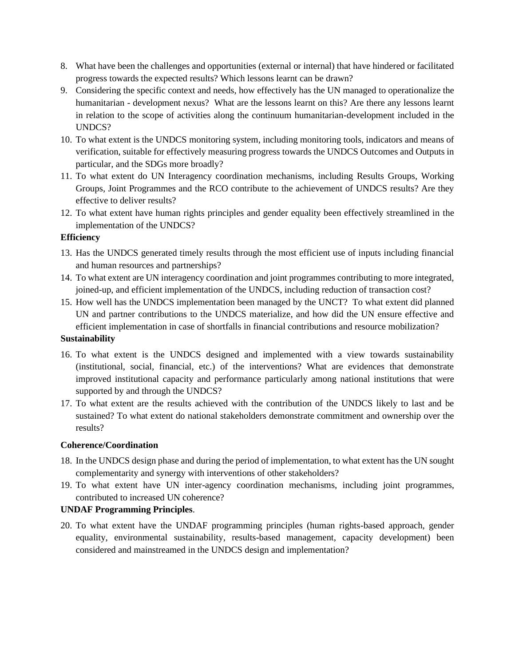- 8. What have been the challenges and opportunities (external or internal) that have hindered or facilitated progress towards the expected results? Which lessons learnt can be drawn?
- 9. Considering the specific context and needs, how effectively has the UN managed to operationalize the humanitarian - development nexus? What are the lessons learnt on this? Are there any lessons learnt in relation to the scope of activities along the continuum humanitarian-development included in the UNDCS?
- 10. To what extent is the UNDCS monitoring system, including monitoring tools, indicators and means of verification, suitable for effectively measuring progress towards the UNDCS Outcomes and Outputs in particular, and the SDGs more broadly?
- 11. To what extent do UN Interagency coordination mechanisms, including Results Groups, Working Groups, Joint Programmes and the RCO contribute to the achievement of UNDCS results? Are they effective to deliver results?
- 12. To what extent have human rights principles and gender equality been effectively streamlined in the implementation of the UNDCS?

#### **Efficiency**

- 13. Has the UNDCS generated timely results through the most efficient use of inputs including financial and human resources and partnerships?
- 14. To what extent are UN interagency coordination and joint programmes contributing to more integrated, joined-up, and efficient implementation of the UNDCS, including reduction of transaction cost?
- 15. How well has the UNDCS implementation been managed by the UNCT? To what extent did planned UN and partner contributions to the UNDCS materialize, and how did the UN ensure effective and efficient implementation in case of shortfalls in financial contributions and resource mobilization?

### **Sustainability**

- 16. To what extent is the UNDCS designed and implemented with a view towards sustainability (institutional, social, financial, etc.) of the interventions? What are evidences that demonstrate improved institutional capacity and performance particularly among national institutions that were supported by and through the UNDCS?
- 17. To what extent are the results achieved with the contribution of the UNDCS likely to last and be sustained? To what extent do national stakeholders demonstrate commitment and ownership over the results?

#### **Coherence/Coordination**

- 18. In the UNDCS design phase and during the period of implementation, to what extent has the UN sought complementarity and synergy with interventions of other stakeholders?
- 19. To what extent have UN inter-agency coordination mechanisms, including joint programmes, contributed to increased UN coherence?

### **UNDAF Programming Principles**.

20. To what extent have the UNDAF programming principles (human rights-based approach, gender equality, environmental sustainability, results-based management, capacity development) been considered and mainstreamed in the UNDCS design and implementation?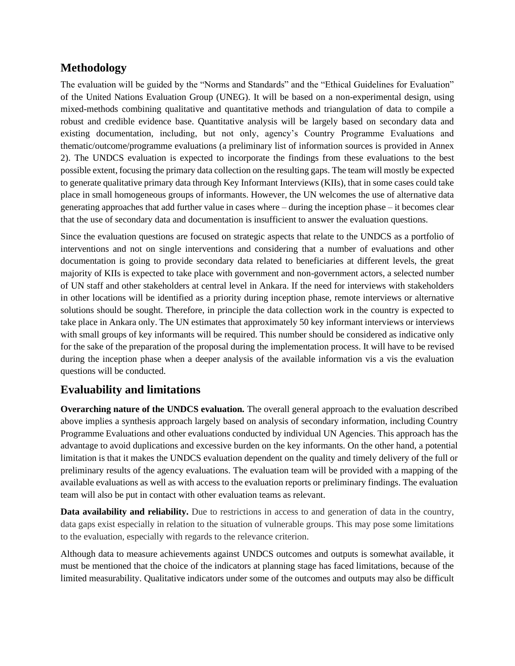## **Methodology**

The evaluation will be guided by the "Norms and Standards" and the "Ethical Guidelines for Evaluation" of the United Nations Evaluation Group (UNEG). It will be based on a non-experimental design, using mixed-methods combining qualitative and quantitative methods and triangulation of data to compile a robust and credible evidence base. Quantitative analysis will be largely based on secondary data and existing documentation, including, but not only, agency's Country Programme Evaluations and thematic/outcome/programme evaluations (a preliminary list of information sources is provided in Annex 2). The UNDCS evaluation is expected to incorporate the findings from these evaluations to the best possible extent, focusing the primary data collection on the resulting gaps. The team will mostly be expected to generate qualitative primary data through Key Informant Interviews (KIIs), that in some cases could take place in small homogeneous groups of informants. However, the UN welcomes the use of alternative data generating approaches that add further value in cases where – during the inception phase – it becomes clear that the use of secondary data and documentation is insufficient to answer the evaluation questions.

Since the evaluation questions are focused on strategic aspects that relate to the UNDCS as a portfolio of interventions and not on single interventions and considering that a number of evaluations and other documentation is going to provide secondary data related to beneficiaries at different levels, the great majority of KIIs is expected to take place with government and non-government actors, a selected number of UN staff and other stakeholders at central level in Ankara. If the need for interviews with stakeholders in other locations will be identified as a priority during inception phase, remote interviews or alternative solutions should be sought. Therefore, in principle the data collection work in the country is expected to take place in Ankara only. The UN estimates that approximately 50 key informant interviews or interviews with small groups of key informants will be required. This number should be considered as indicative only for the sake of the preparation of the proposal during the implementation process. It will have to be revised during the inception phase when a deeper analysis of the available information vis a vis the evaluation questions will be conducted.

## **Evaluability and limitations**

**Overarching nature of the UNDCS evaluation***.* The overall general approach to the evaluation described above implies a synthesis approach largely based on analysis of secondary information, including Country Programme Evaluations and other evaluations conducted by individual UN Agencies. This approach has the advantage to avoid duplications and excessive burden on the key informants. On the other hand, a potential limitation is that it makes the UNDCS evaluation dependent on the quality and timely delivery of the full or preliminary results of the agency evaluations. The evaluation team will be provided with a mapping of the available evaluations as well as with access to the evaluation reports or preliminary findings. The evaluation team will also be put in contact with other evaluation teams as relevant.

**Data availability and reliability.** Due to restrictions in access to and generation of data in the country, data gaps exist especially in relation to the situation of vulnerable groups. This may pose some limitations to the evaluation, especially with regards to the relevance criterion.

Although data to measure achievements against UNDCS outcomes and outputs is somewhat available, it must be mentioned that the choice of the indicators at planning stage has faced limitations, because of the limited measurability. Qualitative indicators under some of the outcomes and outputs may also be difficult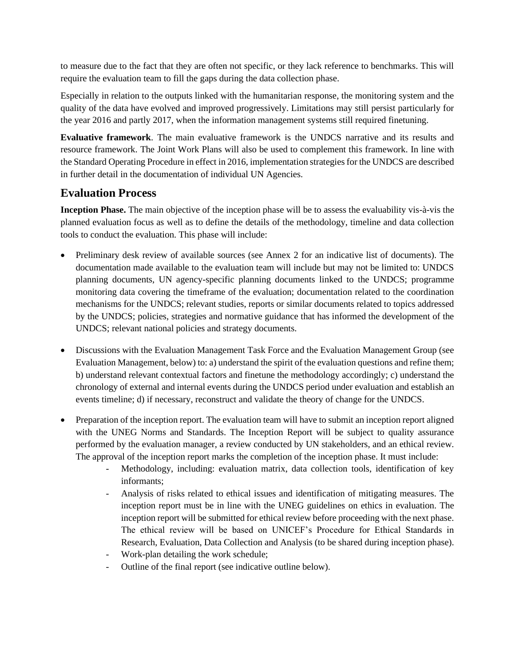to measure due to the fact that they are often not specific, or they lack reference to benchmarks. This will require the evaluation team to fill the gaps during the data collection phase.

Especially in relation to the outputs linked with the humanitarian response, the monitoring system and the quality of the data have evolved and improved progressively. Limitations may still persist particularly for the year 2016 and partly 2017, when the information management systems still required finetuning.

**Evaluative framework**. The main evaluative framework is the UNDCS narrative and its results and resource framework. The Joint Work Plans will also be used to complement this framework. In line with the Standard Operating Procedure in effect in 2016, implementation strategies for the UNDCS are described in further detail in the documentation of individual UN Agencies.

## **Evaluation Process**

**Inception Phase.** The main objective of the inception phase will be to assess the evaluability vis-à-vis the planned evaluation focus as well as to define the details of the methodology, timeline and data collection tools to conduct the evaluation. This phase will include:

- Preliminary desk review of available sources (see Annex 2 for an indicative list of documents). The documentation made available to the evaluation team will include but may not be limited to: UNDCS planning documents, UN agency-specific planning documents linked to the UNDCS; programme monitoring data covering the timeframe of the evaluation; documentation related to the coordination mechanisms for the UNDCS; relevant studies, reports or similar documents related to topics addressed by the UNDCS; policies, strategies and normative guidance that has informed the development of the UNDCS; relevant national policies and strategy documents.
- Discussions with the Evaluation Management Task Force and the Evaluation Management Group (see Evaluation Management, below) to: a) understand the spirit of the evaluation questions and refine them; b) understand relevant contextual factors and finetune the methodology accordingly; c) understand the chronology of external and internal events during the UNDCS period under evaluation and establish an events timeline; d) if necessary, reconstruct and validate the theory of change for the UNDCS.
- Preparation of the inception report. The evaluation team will have to submit an inception report aligned with the UNEG Norms and Standards. The Inception Report will be subject to quality assurance performed by the evaluation manager, a review conducted by UN stakeholders, and an ethical review. The approval of the inception report marks the completion of the inception phase. It must include:
	- Methodology, including: evaluation matrix, data collection tools, identification of key informants;
	- Analysis of risks related to ethical issues and identification of mitigating measures. The inception report must be in line with the UNEG guidelines on ethics in evaluation. The inception report will be submitted for ethical review before proceeding with the next phase. The ethical review will be based on UNICEF's Procedure for Ethical Standards in Research, Evaluation, Data Collection and Analysis (to be shared during inception phase). Work-plan detailing the work schedule;
	- Outline of the final report (see indicative outline below).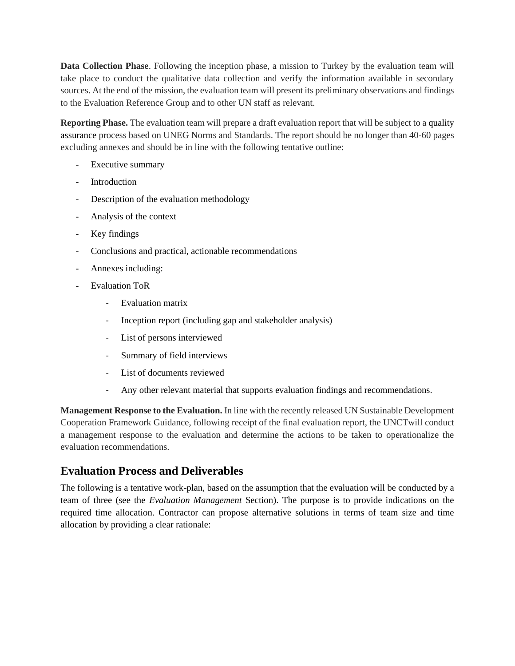**Data Collection Phase**. Following the inception phase, a mission to Turkey by the evaluation team will take place to conduct the qualitative data collection and verify the information available in secondary sources. At the end of the mission, the evaluation team will present its preliminary observations and findings to the Evaluation Reference Group and to other UN staff as relevant.

**Reporting Phase.** The evaluation team will prepare a draft evaluation report that will be subject to a quality assurance process based on UNEG Norms and Standards. The report should be no longer than 40-60 pages excluding annexes and should be in line with the following tentative outline:

- Executive summary
- Introduction
- Description of the evaluation methodology
- Analysis of the context
- Key findings
- Conclusions and practical, actionable recommendations
- Annexes including:
- Evaluation ToR
	- Evaluation matrix
	- Inception report (including gap and stakeholder analysis)
	- List of persons interviewed
	- Summary of field interviews
	- List of documents reviewed
	- Any other relevant material that supports evaluation findings and recommendations.

**Management Response to the Evaluation.** In line with the recently released UN Sustainable Development Cooperation Framework Guidance, following receipt of the final evaluation report, the UNCTwill conduct a management response to the evaluation and determine the actions to be taken to operationalize the evaluation recommendations.

## **Evaluation Process and Deliverables**

The following is a tentative work-plan, based on the assumption that the evaluation will be conducted by a team of three (see the *Evaluation Management* Section). The purpose is to provide indications on the required time allocation. Contractor can propose alternative solutions in terms of team size and time allocation by providing a clear rationale: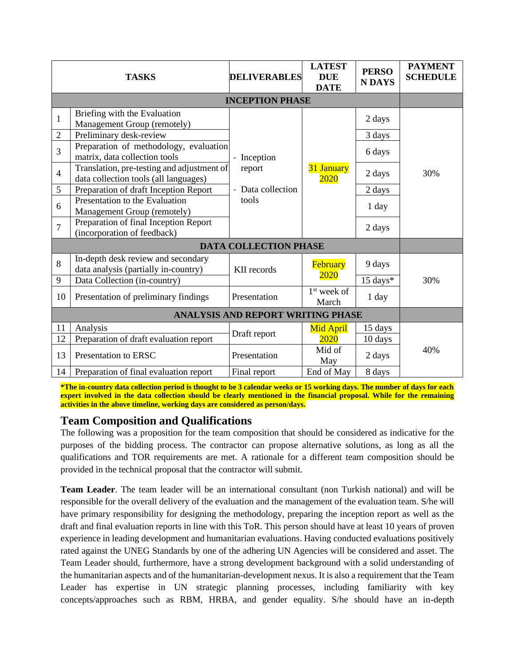| <b>TASKS</b>                 |                                                                                     | <b>DELIVERABLES</b> | <b>LATEST</b><br><b>DUE</b><br><b>DATE</b> | <b>PERSO</b><br><b>NDAYS</b> | <b>PAYMENT</b><br><b>SCHEDULE</b> |  |  |
|------------------------------|-------------------------------------------------------------------------------------|---------------------|--------------------------------------------|------------------------------|-----------------------------------|--|--|
| <b>INCEPTION PHASE</b>       |                                                                                     |                     |                                            |                              |                                   |  |  |
| $\mathbf{1}$                 | Briefing with the Evaluation<br>Management Group (remotely)                         |                     |                                            | 2 days                       |                                   |  |  |
| $\overline{2}$               | Preliminary desk-review                                                             |                     |                                            | 3 days                       |                                   |  |  |
| $\overline{3}$               | Preparation of methodology, evaluation<br>matrix, data collection tools             | Inception           | 31 January<br>2020                         | 6 days                       |                                   |  |  |
| $\overline{4}$               | Translation, pre-testing and adjustment of<br>data collection tools (all languages) | report              |                                            | 2 days                       | 30%                               |  |  |
| 5                            | Preparation of draft Inception Report                                               | Data collection     |                                            | 2 days                       |                                   |  |  |
| 6                            | Presentation to the Evaluation<br>Management Group (remotely)                       | tools               |                                            | 1 day                        |                                   |  |  |
| $\overline{7}$               | Preparation of final Inception Report<br>(incorporation of feedback)                |                     |                                            | 2 days                       |                                   |  |  |
| <b>DATA COLLECTION PHASE</b> |                                                                                     |                     |                                            |                              |                                   |  |  |
| 8                            | In-depth desk review and secondary<br>data analysis (partially in-country)          | KII records         | February                                   | 9 days                       |                                   |  |  |
| 9                            | Data Collection (in-country)                                                        |                     | 2020                                       | 15 days*                     | 30%                               |  |  |
| 10                           | Presentation of preliminary findings                                                | Presentation        | $1st$ week of<br>March                     | 1 day                        |                                   |  |  |
|                              | <b>ANALYSIS AND REPORT WRITING PHASE</b>                                            |                     |                                            |                              |                                   |  |  |
| 11                           | Analysis                                                                            |                     | <b>Mid April</b>                           | 15 days                      |                                   |  |  |
| 12                           | Preparation of draft evaluation report                                              | Draft report        | 2020                                       | 10 days                      |                                   |  |  |
| 13                           | Presentation to ERSC                                                                | Presentation        | Mid of<br>May                              | 2 days                       | 40%                               |  |  |
| 14                           | Preparation of final evaluation report                                              | Final report        | End of May                                 | 8 days                       |                                   |  |  |

**\*The in-country data collection period is thought to be 3 calendar weeks or 15 working days. The number of days for each expert involved in the data collection should be clearly mentioned in the financial proposal. While for the remaining activities in the above timeline, working days are considered as person/days.**

## **Team Composition and Qualifications**

The following was a proposition for the team composition that should be considered as indicative for the purposes of the bidding process. The contractor can propose alternative solutions, as long as all the qualifications and TOR requirements are met. A rationale for a different team composition should be provided in the technical proposal that the contractor will submit.

**Team Leader**. The team leader will be an international consultant (non Turkish national) and will be responsible for the overall delivery of the evaluation and the management of the evaluation team. S/he will have primary responsibility for designing the methodology, preparing the inception report as well as the draft and final evaluation reports in line with this ToR. This person should have at least 10 years of proven experience in leading development and humanitarian evaluations. Having conducted evaluations positively rated against the UNEG Standards by one of the adhering UN Agencies will be considered and asset. The Team Leader should, furthermore, have a strong development background with a solid understanding of the humanitarian aspects and of the humanitarian-development nexus. It is also a requirement that the Team Leader has expertise in UN strategic planning processes, including familiarity with key concepts/approaches such as RBM, HRBA, and gender equality. S/he should have an in-depth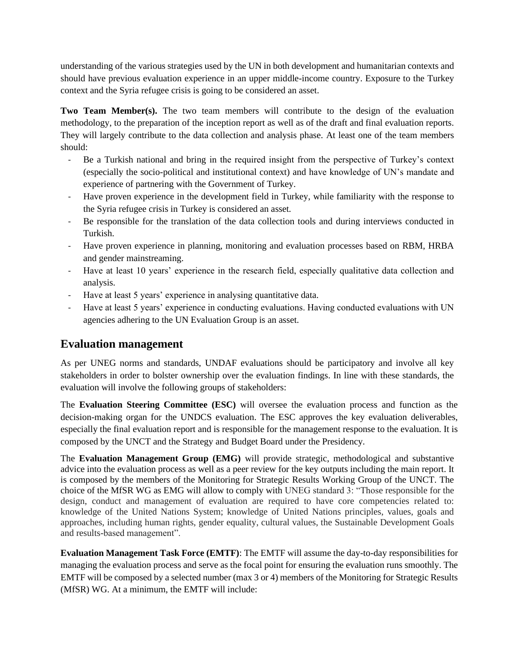understanding of the various strategies used by the UN in both development and humanitarian contexts and should have previous evaluation experience in an upper middle-income country. Exposure to the Turkey context and the Syria refugee crisis is going to be considered an asset.

**Two Team Member(s).** The two team members will contribute to the design of the evaluation methodology, to the preparation of the inception report as well as of the draft and final evaluation reports. They will largely contribute to the data collection and analysis phase. At least one of the team members should:

- Be a Turkish national and bring in the required insight from the perspective of Turkey's context (especially the socio-political and institutional context) and have knowledge of UN's mandate and experience of partnering with the Government of Turkey.
- Have proven experience in the development field in Turkey, while familiarity with the response to the Syria refugee crisis in Turkey is considered an asset.
- Be responsible for the translation of the data collection tools and during interviews conducted in Turkish.
- Have proven experience in planning, monitoring and evaluation processes based on RBM, HRBA and gender mainstreaming.
- Have at least 10 years' experience in the research field, especially qualitative data collection and analysis.
- Have at least 5 years' experience in analysing quantitative data.
- Have at least 5 years' experience in conducting evaluations. Having conducted evaluations with UN agencies adhering to the UN Evaluation Group is an asset.

## **Evaluation management**

As per UNEG norms and standards, UNDAF evaluations should be participatory and involve all key stakeholders in order to bolster ownership over the evaluation findings. In line with these standards, the evaluation will involve the following groups of stakeholders:

The **Evaluation Steering Committee (ESC)** will oversee the evaluation process and function as the decision-making organ for the UNDCS evaluation. The ESC approves the key evaluation deliverables, especially the final evaluation report and is responsible for the management response to the evaluation. It is composed by the UNCT and the Strategy and Budget Board under the Presidency.

The **Evaluation Management Group (EMG)** will provide strategic, methodological and substantive advice into the evaluation process as well as a peer review for the key outputs including the main report. It is composed by the members of the Monitoring for Strategic Results Working Group of the UNCT. The choice of the MfSR WG as EMG will allow to comply with UNEG standard 3: "Those responsible for the design, conduct and management of evaluation are required to have core competencies related to: knowledge of the United Nations System; knowledge of United Nations principles, values, goals and approaches, including human rights, gender equality, cultural values, the Sustainable Development Goals and results-based management".

**Evaluation Management Task Force (EMTF)**: The EMTF will assume the day-to-day responsibilities for managing the evaluation process and serve as the focal point for ensuring the evaluation runs smoothly. The EMTF will be composed by a selected number (max 3 or 4) members of the Monitoring for Strategic Results (MfSR) WG. At a minimum, the EMTF will include: